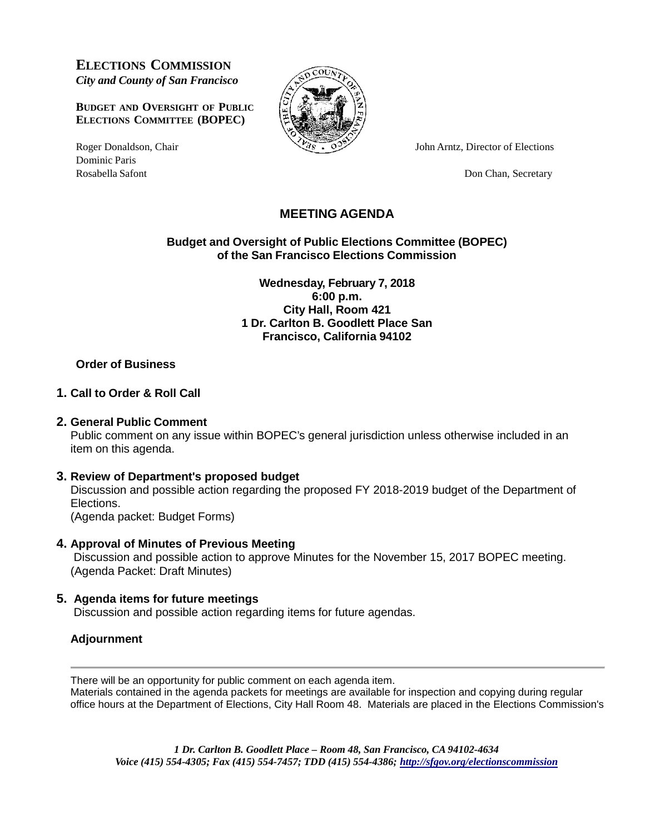**ELECTIONS COMMISSION** *City and County of San Francisco*

**BUDGET AND OVERSIGHT OF PUBLIC ELECTIONS COMMITTEE (BOPEC)**

Dominic Paris Rosabella Safont Don Chan, Secretary



Roger Donaldson, Chair  $\frac{33}{25}$  John Arntz, Director of Elections

# **MEETING AGENDA**

**Budget and Oversight of Public Elections Committee (BOPEC) of the San Francisco Elections Commission**

> **Wednesday, February 7, 2018 6:00 p.m. City Hall, Room 421 1 Dr. Carlton B. Goodlett Place San Francisco, California 94102**

### **Order of Business**

#### **1. Call to Order & Roll Call**

#### **2. General Public Comment**

Public comment on any issue within BOPEC's general jurisdiction unless otherwise included in an item on this agenda.

#### **3. Review of Department's proposed budget**

Discussion and possible action regarding the proposed FY 2018-2019 budget of the Department of Elections.

(Agenda packet: Budget Forms)

## **4. Approval of Minutes of Previous Meeting**

Discussion and possible action to approve Minutes for the November 15, 2017 BOPEC meeting. (Agenda Packet: Draft Minutes)

## **5. Agenda items for future meetings**

Discussion and possible action regarding items for future agendas.

## **Adjournment**

There will be an opportunity for public comment on each agenda item.

Materials contained in the agenda packets for meetings are available for inspection and copying during regular office hours at the Department of Elections, City Hall Room 48. Materials are placed in the Elections Commission's

*1 Dr. Carlton B. Goodlett Place – Room 48, San Francisco, CA 94102-4634 Voice (415) 554-4305; Fax (415) 554-7457; TDD (415) 554-4386; <http://sfgov.org/electionscommission>*